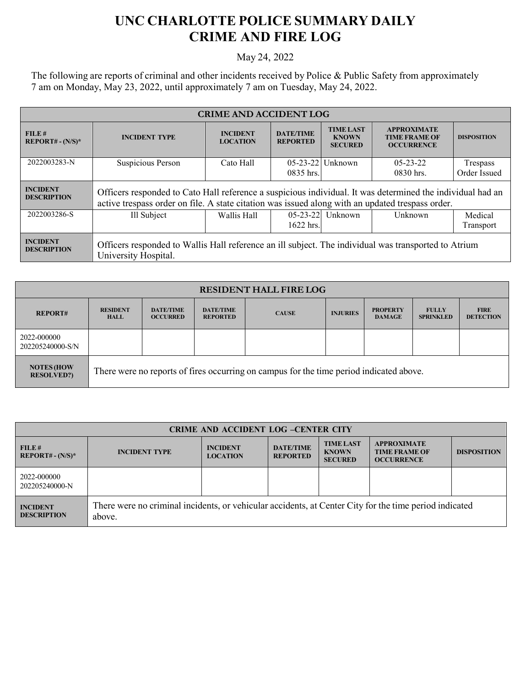## **UNC CHARLOTTE POLICE SUMMARY DAILY CRIME AND FIRE LOG**

May 24, 2022

The following are reports of criminal and other incidents received by Police & Public Safety from approximately 7 am on Monday, May 23, 2022, until approximately 7 am on Tuesday, May 24, 2022.

| <b>CRIME AND ACCIDENT LOG</b>         |                                                                                                                                                                                                                |                                    |                                     |                                                    |                                                                 |                          |  |
|---------------------------------------|----------------------------------------------------------------------------------------------------------------------------------------------------------------------------------------------------------------|------------------------------------|-------------------------------------|----------------------------------------------------|-----------------------------------------------------------------|--------------------------|--|
| FILE#<br>$REPORT# - (N/S)*$           | <b>INCIDENT TYPE</b>                                                                                                                                                                                           | <b>INCIDENT</b><br><b>LOCATION</b> | <b>DATE/TIME</b><br><b>REPORTED</b> | <b>TIME LAST</b><br><b>KNOWN</b><br><b>SECURED</b> | <b>APPROXIMATE</b><br><b>TIME FRAME OF</b><br><b>OCCURRENCE</b> | <b>DISPOSITION</b>       |  |
| 2022003283-N                          | Suspicious Person                                                                                                                                                                                              | Cato Hall                          | $0835$ hrs.                         | $05-23-22$ Unknown                                 | $05 - 23 - 22$<br>0830 hrs.                                     | Trespass<br>Order Issued |  |
| <b>INCIDENT</b><br><b>DESCRIPTION</b> | Officers responded to Cato Hall reference a suspicious individual. It was determined the individual had an<br>active trespass order on file. A state citation was issued along with an updated trespass order. |                                    |                                     |                                                    |                                                                 |                          |  |
| 2022003286-S                          | Ill Subject                                                                                                                                                                                                    | Wallis Hall                        | $05 - 23 - 22$<br>1622 hrs.         | Unknown                                            | Unknown                                                         | Medical<br>Transport     |  |
| <b>INCIDENT</b><br><b>DESCRIPTION</b> | Officers responded to Wallis Hall reference an ill subject. The individual was transported to Atrium<br>University Hospital.                                                                                   |                                    |                                     |                                                    |                                                                 |                          |  |

| <b>RESIDENT HALL FIRE LOG</b>          |                                                                                         |                                     |                                     |              |                 |                                  |                                  |                                 |
|----------------------------------------|-----------------------------------------------------------------------------------------|-------------------------------------|-------------------------------------|--------------|-----------------|----------------------------------|----------------------------------|---------------------------------|
| <b>REPORT#</b>                         | <b>RESIDENT</b><br><b>HALL</b>                                                          | <b>DATE/TIME</b><br><b>OCCURRED</b> | <b>DATE/TIME</b><br><b>REPORTED</b> | <b>CAUSE</b> | <b>INJURIES</b> | <b>PROPERTY</b><br><b>DAMAGE</b> | <b>FULLY</b><br><b>SPRINKLED</b> | <b>FIRE</b><br><b>DETECTION</b> |
| 2022-000000<br>202205240000-S/N        |                                                                                         |                                     |                                     |              |                 |                                  |                                  |                                 |
| <b>NOTES (HOW</b><br><b>RESOLVED?)</b> | There were no reports of fires occurring on campus for the time period indicated above. |                                     |                                     |              |                 |                                  |                                  |                                 |

| <b>CRIME AND ACCIDENT LOG -CENTER CITY</b> |                                                                                                                  |                                    |                                     |                                                    |                                                                 |                    |  |
|--------------------------------------------|------------------------------------------------------------------------------------------------------------------|------------------------------------|-------------------------------------|----------------------------------------------------|-----------------------------------------------------------------|--------------------|--|
| FILE#<br>$REPORT# - (N/S)*$                | <b>INCIDENT TYPE</b>                                                                                             | <b>INCIDENT</b><br><b>LOCATION</b> | <b>DATE/TIME</b><br><b>REPORTED</b> | <b>TIME LAST</b><br><b>KNOWN</b><br><b>SECURED</b> | <b>APPROXIMATE</b><br><b>TIME FRAME OF</b><br><b>OCCURRENCE</b> | <b>DISPOSITION</b> |  |
| 2022-000000<br>202205240000-N              |                                                                                                                  |                                    |                                     |                                                    |                                                                 |                    |  |
| <b>INCIDENT</b><br><b>DESCRIPTION</b>      | There were no criminal incidents, or vehicular accidents, at Center City for the time period indicated<br>above. |                                    |                                     |                                                    |                                                                 |                    |  |